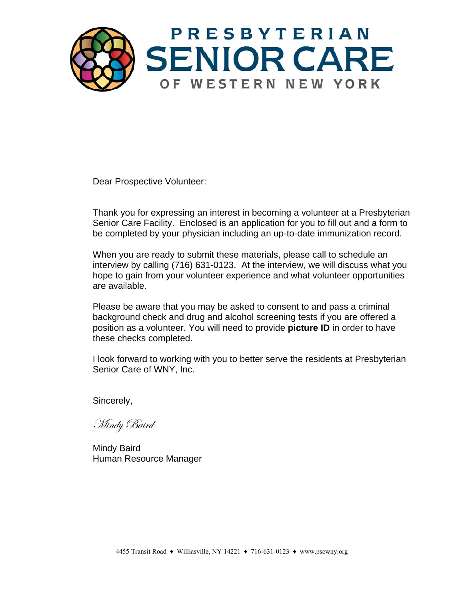

Dear Prospective Volunteer:

Thank you for expressing an interest in becoming a volunteer at a Presbyterian Senior Care Facility. Enclosed is an application for you to fill out and a form to be completed by your physician including an up-to-date immunization record.

When you are ready to submit these materials, please call to schedule an interview by calling (716) 631-0123. At the interview, we will discuss what you hope to gain from your volunteer experience and what volunteer opportunities are available.

Please be aware that you may be asked to consent to and pass a criminal background check and drug and alcohol screening tests if you are offered a position as a volunteer. You will need to provide **picture ID** in order to have these checks completed.

I look forward to working with you to better serve the residents at Presbyterian Senior Care of WNY, Inc.

Sincerely,

Mindy Baird

Mindy Baird Human Resource Manager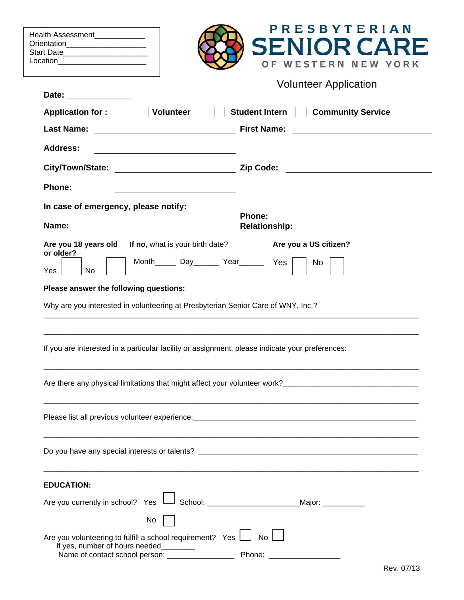| Health Assessment_____________<br>Orientation_______________________<br>Start Date________________________<br>Location ________________________                                                                                                                      | PRESBYTERIAN<br><b>SENIOR CAR</b><br>WESTERN NEW YORK<br>O F     |
|----------------------------------------------------------------------------------------------------------------------------------------------------------------------------------------------------------------------------------------------------------------------|------------------------------------------------------------------|
|                                                                                                                                                                                                                                                                      | <b>Volunteer Application</b>                                     |
| Date: _______________                                                                                                                                                                                                                                                |                                                                  |
| <b>Application for:</b><br><b>Volunteer</b>                                                                                                                                                                                                                          | Student Intern     Community Service                             |
|                                                                                                                                                                                                                                                                      | <b>First Name:</b>                                               |
| <b>Address:</b><br><u> 1989 - Johann Stein, mars an deutscher Stein († 1958)</u>                                                                                                                                                                                     |                                                                  |
| City/Town/State:                                                                                                                                                                                                                                                     |                                                                  |
| <b>Phone:</b>                                                                                                                                                                                                                                                        |                                                                  |
| In case of emergency, please notify:<br>Name:                                                                                                                                                                                                                        | <b>Phone:</b>                                                    |
| Are you 18 years old<br><b>If no</b> , what is your birth date?<br>or older?<br>Month_______ Day________ Year________ Yes<br>Yes<br>No<br>Please answer the following questions:<br>Why are you interested in volunteering at Presbyterian Senior Care of WNY, Inc.? | Are you a US citizen?<br>No                                      |
| If you are interested in a particular facility or assignment, please indicate your preferences:                                                                                                                                                                      |                                                                  |
|                                                                                                                                                                                                                                                                      |                                                                  |
|                                                                                                                                                                                                                                                                      |                                                                  |
|                                                                                                                                                                                                                                                                      |                                                                  |
| <b>EDUCATION:</b>                                                                                                                                                                                                                                                    |                                                                  |
| Are you currently in school? Yes L                                                                                                                                                                                                                                   | <sup>]</sup> School: _________________________Major: ___________ |
| No                                                                                                                                                                                                                                                                   |                                                                  |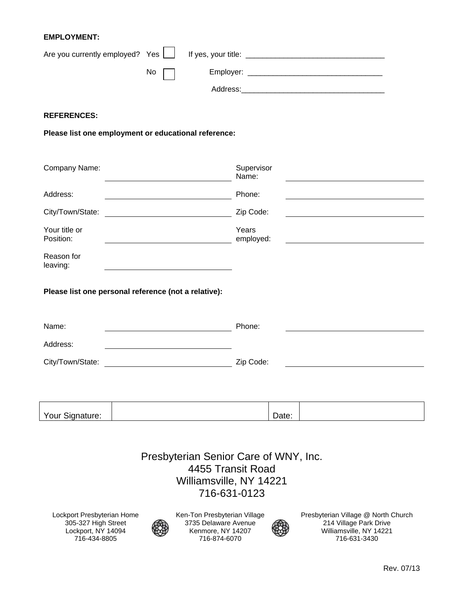## **EMPLOYMENT:**

| Are you currently employed? Yes [10] |    | If yes, your title: |  |
|--------------------------------------|----|---------------------|--|
|                                      | No | Employer:           |  |
|                                      |    | Address:            |  |

## **REFERENCES:**

**Please list one employment or educational reference:** 

| Company Name:                                                      | Supervisor<br>Name: |
|--------------------------------------------------------------------|---------------------|
| Address:                                                           | Phone:              |
|                                                                    | Zip Code:           |
| Your title or<br>Position:                                         | Years<br>employed:  |
| Reason for<br>leaving:                                             |                     |
| Please list one personal reference (not a relative):               |                     |
| Name:<br><u> 1989 - Johann Barnett, fransk politiker (d. 1989)</u> | Phone:              |
| Address:                                                           |                     |
| City/Town/State:                                                   | Zip Code:           |
|                                                                    |                     |
| Your Signature:                                                    | Date:               |
| Presbyterian Senior Care of WNY, Inc.                              |                     |

4455 Transit Road Williamsville, NY 14221 716-631-0123

Lockport Presbyterian Home 305-327 High Street Lockport, NY 14094 716-434-8805



Ken-Ton Presbyterian Village 3735 Delaware Avenue Kenmore, NY 14207 716-874-6070



Presbyterian Village @ North Church 214 Village Park Drive Williamsville, NY 14221 716-631-3430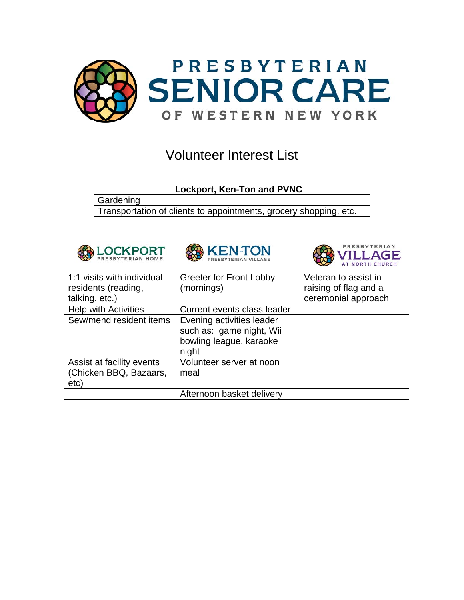

## Volunteer Interest List

**Lockport, Ken-Ton and PVNC** 

**Gardening** 

Transportation of clients to appointments, grocery shopping, etc.

| <b>LOCKPORT</b>                                             | <b>KEN-TON</b>                                                                            | PRESBYTERIAM<br><b>ILLAGE</b> |
|-------------------------------------------------------------|-------------------------------------------------------------------------------------------|-------------------------------|
| 1:1 visits with individual                                  | <b>Greeter for Front Lobby</b>                                                            | Veteran to assist in          |
| residents (reading,                                         | (mornings)                                                                                | raising of flag and a         |
| talking, etc.)                                              |                                                                                           | ceremonial approach           |
| <b>Help with Activities</b>                                 | Current events class leader                                                               |                               |
| Sew/mend resident items                                     | Evening activities leader<br>such as: game night, Wii<br>bowling league, karaoke<br>night |                               |
| Assist at facility events<br>(Chicken BBQ, Bazaars,<br>etc) | Volunteer server at noon<br>meal                                                          |                               |
|                                                             | Afternoon basket delivery                                                                 |                               |